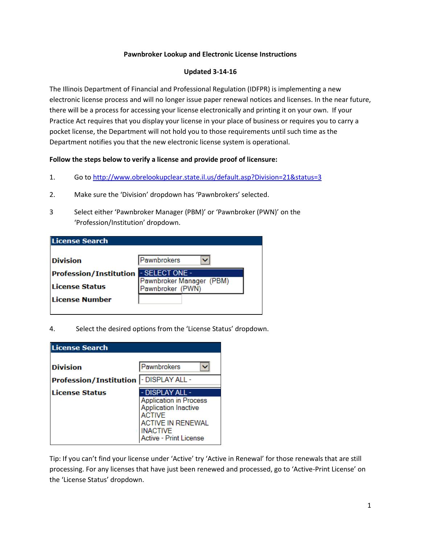## **Pawnbroker Lookup and Electronic License Instructions**

## **Updated 3-14-16**

The Illinois Department of Financial and Professional Regulation (IDFPR) is implementing a new electronic license process and will no longer issue paper renewal notices and licenses. In the near future, there will be a process for accessing your license electronically and printing it on your own. If your Practice Act requires that you display your license in your place of business or requires you to carry a pocket license, the Department will not hold you to those requirements until such time as the Department notifies you that the new electronic license system is operational.

## **Follow the steps below to verify a license and provide proof of licensure:**

- 1. Go to<http://www.obrelookupclear.state.il.us/default.asp?Division=21&status=3>
- 2. Make sure the 'Division' dropdown has 'Pawnbrokers' selected.
- 3 Select either 'Pawnbroker Manager (PBM)' or 'Pawnbroker (PWN)' on the 'Profession/Institution' dropdown.

| <b>License Search</b>         |                                              |
|-------------------------------|----------------------------------------------|
| <b>Division</b>               | Pawnbrokers                                  |
| <b>Profession/Institution</b> | - SELECT ONE -                               |
| <b>License Status</b>         | Pawnbroker Manager (PBM)<br>Pawnbroker (PWN) |
| <b>License Number</b>         |                                              |
|                               |                                              |

4. Select the desired options from the 'License Status' dropdown.

| <b>License Search</b>         |                                                                                                                                                       |  |
|-------------------------------|-------------------------------------------------------------------------------------------------------------------------------------------------------|--|
|                               |                                                                                                                                                       |  |
| <b>Division</b>               | Pawnbrokers                                                                                                                                           |  |
| <b>Profession/Institution</b> | - DISPLAY ALL -                                                                                                                                       |  |
| <b>License Status</b>         | - DISPLAY ALL -                                                                                                                                       |  |
|                               | <b>Application in Process</b><br><b>Application Inactive</b><br><b>ACTIVE</b><br>ACTIVE IN RENEWAL<br><b>NACTIVE</b><br><b>Active - Print License</b> |  |

Tip: If you can't find your license under 'Active' try 'Active in Renewal' for those renewals that are still processing. For any licenses that have just been renewed and processed, go to 'Active-Print License' on the 'License Status' dropdown.